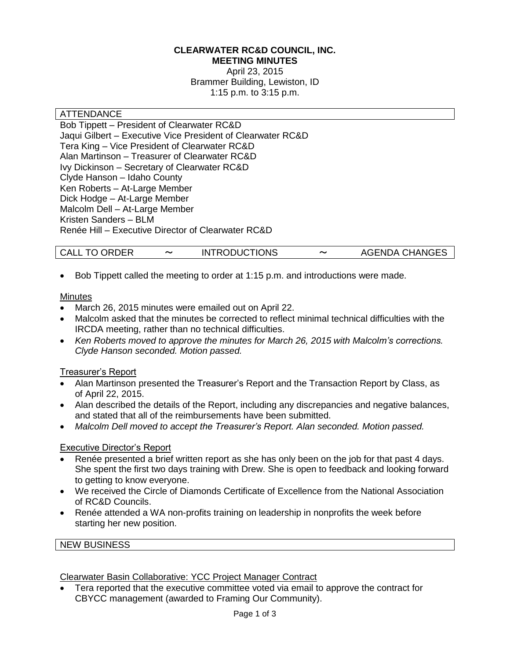#### **CLEARWATER RC&D COUNCIL, INC. MEETING MINUTES**

April 23, 2015 Brammer Building, Lewiston, ID 1:15 p.m. to 3:15 p.m.

#### **ATTENDANCE**

Bob Tippett – President of Clearwater RC&D Jaqui Gilbert – Executive Vice President of Clearwater RC&D Tera King – Vice President of Clearwater RC&D Alan Martinson – Treasurer of Clearwater RC&D Ivy Dickinson – Secretary of Clearwater RC&D Clyde Hanson – Idaho County Ken Roberts – At-Large Member Dick Hodge – At-Large Member Malcolm Dell – At-Large Member Kristen Sanders – BLM Renée Hill – Executive Director of Clearwater RC&D

| <b>INTRODUCTIONS</b> | <b>AGENDA CHANGES</b> |
|----------------------|-----------------------|
| <b>CALL TO ORDER</b> | ~                     |

Bob Tippett called the meeting to order at 1:15 p.m. and introductions were made.

#### **Minutes**

- March 26, 2015 minutes were emailed out on April 22.
- Malcolm asked that the minutes be corrected to reflect minimal technical difficulties with the IRCDA meeting, rather than no technical difficulties.
- *Ken Roberts moved to approve the minutes for March 26, 2015 with Malcolm's corrections. Clyde Hanson seconded. Motion passed.*

#### Treasurer's Report

- Alan Martinson presented the Treasurer's Report and the Transaction Report by Class, as of April 22, 2015.
- Alan described the details of the Report, including any discrepancies and negative balances, and stated that all of the reimbursements have been submitted.
- *Malcolm Dell moved to accept the Treasurer's Report. Alan seconded. Motion passed.*

#### Executive Director's Report

- Renée presented a brief written report as she has only been on the job for that past 4 days. She spent the first two days training with Drew. She is open to feedback and looking forward to getting to know everyone.
- We received the Circle of Diamonds Certificate of Excellence from the National Association of RC&D Councils.
- Renée attended a WA non-profits training on leadership in nonprofits the week before starting her new position.

#### NEW BUSINESS

#### Clearwater Basin Collaborative: YCC Project Manager Contract

 Tera reported that the executive committee voted via email to approve the contract for CBYCC management (awarded to Framing Our Community).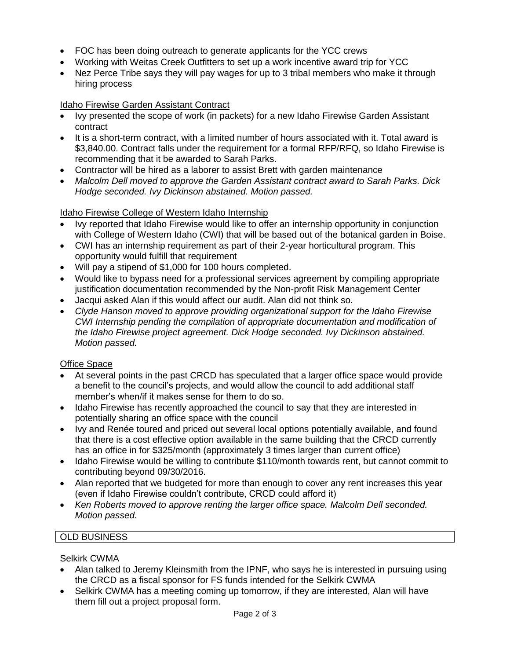- FOC has been doing outreach to generate applicants for the YCC crews
- Working with Weitas Creek Outfitters to set up a work incentive award trip for YCC
- Nez Perce Tribe says they will pay wages for up to 3 tribal members who make it through hiring process

## Idaho Firewise Garden Assistant Contract

- Ivy presented the scope of work (in packets) for a new Idaho Firewise Garden Assistant contract
- It is a short-term contract, with a limited number of hours associated with it. Total award is \$3,840.00. Contract falls under the requirement for a formal RFP/RFQ, so Idaho Firewise is recommending that it be awarded to Sarah Parks.
- Contractor will be hired as a laborer to assist Brett with garden maintenance
- *Malcolm Dell moved to approve the Garden Assistant contract award to Sarah Parks. Dick Hodge seconded. Ivy Dickinson abstained. Motion passed.*

#### Idaho Firewise College of Western Idaho Internship

- Ivy reported that Idaho Firewise would like to offer an internship opportunity in conjunction with College of Western Idaho (CWI) that will be based out of the botanical garden in Boise.
- CWI has an internship requirement as part of their 2-year horticultural program. This opportunity would fulfill that requirement
- Will pay a stipend of \$1,000 for 100 hours completed.
- Would like to bypass need for a professional services agreement by compiling appropriate justification documentation recommended by the Non-profit Risk Management Center
- Jacqui asked Alan if this would affect our audit. Alan did not think so.
- *Clyde Hanson moved to approve providing organizational support for the Idaho Firewise CWI Internship pending the compilation of appropriate documentation and modification of the Idaho Firewise project agreement. Dick Hodge seconded. Ivy Dickinson abstained. Motion passed.*

#### Office Space

- At several points in the past CRCD has speculated that a larger office space would provide a benefit to the council's projects, and would allow the council to add additional staff member's when/if it makes sense for them to do so.
- Idaho Firewise has recently approached the council to say that they are interested in potentially sharing an office space with the council
- Ivy and Renée toured and priced out several local options potentially available, and found that there is a cost effective option available in the same building that the CRCD currently has an office in for \$325/month (approximately 3 times larger than current office)
- Idaho Firewise would be willing to contribute \$110/month towards rent, but cannot commit to contributing beyond 09/30/2016.
- Alan reported that we budgeted for more than enough to cover any rent increases this year (even if Idaho Firewise couldn't contribute, CRCD could afford it)
- *Ken Roberts moved to approve renting the larger office space. Malcolm Dell seconded. Motion passed.*

## OLD BUSINESS

#### Selkirk CWMA

- Alan talked to Jeremy Kleinsmith from the IPNF, who says he is interested in pursuing using the CRCD as a fiscal sponsor for FS funds intended for the Selkirk CWMA
- Selkirk CWMA has a meeting coming up tomorrow, if they are interested, Alan will have them fill out a project proposal form.